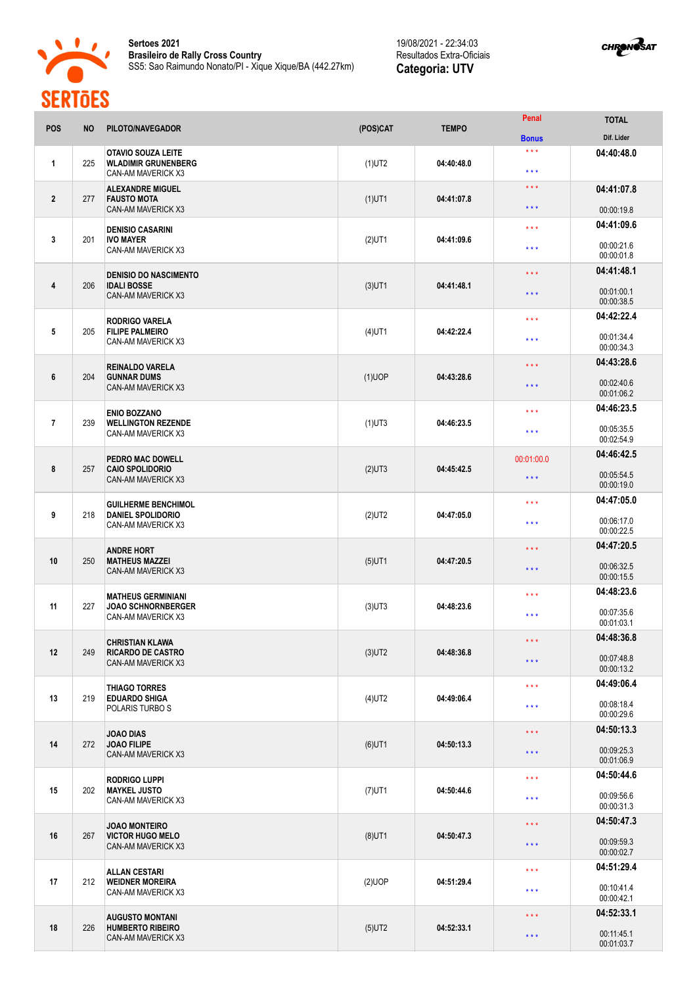

**Sertoes 2021 Brasileiro de Rally Cross Country** SS5: Sao Raimundo Nonato/PI - Xique Xique/BA (442.27km)

19/08/2021 - 22:34:03 Resultados Extra-Oficiais **Categoria: UTV**



| <b>POS</b>              | <b>NO</b> | PILOTO/NAVEGADOR                                                               | (POS)CAT  | <b>TEMPO</b> | Penal                                              | <b>TOTAL</b>                                         |
|-------------------------|-----------|--------------------------------------------------------------------------------|-----------|--------------|----------------------------------------------------|------------------------------------------------------|
| 1                       | 225       | OTAVIO SOUZA LEITE<br><b>WLADIMIR GRUNENBERG</b><br>CAN-AM MAVERICK X3         | $(1)$ UT2 | 04:40:48.0   | <b>Bonus</b><br>$***$<br>$\star\star\star$         | Dif. Lider<br>04:40:48.0                             |
| $\overline{2}$          | 277       | <b>ALEXANDRE MIGUEL</b><br><b>FAUSTO MOTA</b><br><b>CAN-AM MAVERICK X3</b>     | $(1)$ UT1 | 04:41:07.8   | $\star$ $\star$ $\star$<br>$\star \star \star$     | 04:41:07.8<br>00:00:19.8                             |
| $\mathbf{3}$            | 201       | <b>DENISIO CASARINI</b><br><b>IVO MAYER</b><br>CAN-AM MAVERICK X3              | $(2)$ UT1 | 04:41:09.6   | $\star \star \star$<br>$\star \star \star$         | 04:41:09.6<br>00:00:21.6                             |
| 4                       | 206       | <b>DENISIO DO NASCIMENTO</b><br><b>IDALI BOSSE</b><br>CAN-AM MAVERICK X3       | $(3)$ UT1 | 04:41:48.1   | $\star$ $\star$ $\star$<br>$\star \star \star$     | 00:00:01.8<br>04:41:48.1<br>00:01:00.1               |
| $\overline{\mathbf{5}}$ | 205       | <b>RODRIGO VARELA</b><br><b>FILIPE PALMEIRO</b><br>CAN-AM MAVERICK X3          | $(4)$ UT1 | 04:42:22.4   | $\star \star \star$<br>$\star \star \star$         | 00:00:38.5<br>04:42:22.4<br>00:01:34.4               |
| 6                       | 204       | <b>REINALDO VARELA</b><br><b>GUNNAR DUMS</b><br>CAN-AM MAVERICK X3             | (1)UOP    | 04:43:28.6   | $\star \star \star$<br>$\star \star \star$         | 00:00:34.3<br>04:43:28.6<br>00:02:40.6               |
| $\overline{1}$          | 239       | <b>ENIO BOZZANO</b><br><b>WELLINGTON REZENDE</b><br>CAN-AM MAVERICK X3         | $(1)$ UT3 | 04:46:23.5   | $\star$ $\star$ $\star$<br>$***$                   | 00:01:06.2<br>04:46:23.5<br>00:05:35.5               |
| 8                       | 257       | <b>PEDRO MAC DOWELL</b><br><b>CAIO SPOLIDORIO</b><br><b>CAN-AM MAVERICK X3</b> | $(2)$ UT3 | 04:45:42.5   | 00:01:00.0<br>$\star$ $\star$ $\star$              | 00:02:54.9<br>04:46:42.5<br>00:05:54.5               |
| 9                       | 218       | <b>GUILHERME BENCHIMOL</b><br><b>DANIEL SPOLIDORIO</b><br>CAN-AM MAVERICK X3   | $(2)$ UT2 | 04:47:05.0   | $\star \star \star$<br>$\star \star \star$         | 00:00:19.0<br>04:47:05.0<br>00:06:17.0               |
| 10                      | 250       | <b>ANDRE HORT</b><br><b>MATHEUS MAZZEI</b><br>CAN-AM MAVERICK X3               | $(5)$ UT1 | 04:47:20.5   | * * *<br>$\star \star \star$                       | 00:00:22.5<br>04:47:20.5<br>00:06:32.5               |
| 11                      | 227       | <b>MATHEUS GERMINIANI</b><br><b>JOAO SCHNORNBERGER</b><br>CAN-AM MAVERICK X3   | $(3)$ UT3 | 04:48:23.6   | $\star \star \star$<br>$***$                       | 00:00:15.5<br>04:48:23.6<br>00:07:35.6               |
| 12                      | 249       | <b>CHRISTIAN KLAWA</b><br><b>RICARDO DE CASTRO</b><br>CAN-AM MAVERICK X3       | $(3)$ UT2 | 04:48:36.8   | $\star\star\star$<br>$\star\star\star$             | 00:01:03.1<br>04:48:36.8<br>00:07:48.8<br>00:00:13.2 |
| 13                      | 219       | <b>THIAGO TORRES</b><br><b>EDUARDO SHIGA</b><br>POLARIS TURBO S                | $(4)$ UT2 | 04:49:06.4   | $\star$ $\star$ $\star$<br>$\star$ $\star$ $\star$ | 04:49:06.4<br>00:08:18.4<br>00:00:29.6               |
| 14                      | 272       | <b>JOAO DIAS</b><br><b>JOAO FILIPE</b><br>CAN-AM MAVERICK X3                   | $(6)$ UT1 | 04:50:13.3   | $\star$ $\star$ $\star$<br>$\star$ $\star$ $\star$ | 04:50:13.3<br>00:09:25.3<br>00:01:06.9               |
| 15                      | 202       | <b>RODRIGO LUPPI</b><br><b>MAYKEL JUSTO</b><br>CAN-AM MAVERICK X3              | $(7)$ UT1 | 04:50:44.6   | $\star\star\star$<br>$\star\star\star$             | 04:50:44.6<br>00:09:56.6<br>00:00:31.3               |
| 16                      | 267       | <b>JOAO MONTEIRO</b><br><b>VICTOR HUGO MELO</b><br>CAN-AM MAVERICK X3          | $(8)$ UT1 | 04:50:47.3   | $\star\star\star$<br>$\star\star\star$             | 04:50:47.3<br>00:09:59.3<br>00:00:02.7               |
| 17                      | 212       | <b>ALLAN CESTARI</b><br><b>WEIDNER MOREIRA</b><br>CAN-AM MAVERICK X3           | $(2)$ UOP | 04:51:29.4   | $\star\star\star$<br>$\star$ $\star$ $\star$       | 04:51:29.4<br>00:10:41.4                             |
| 18                      | 226       | <b>AUGUSTO MONTANI</b><br><b>HUMBERTO RIBEIRO</b><br>CAN-AM MAVERICK X3        | $(5)$ UT2 | 04:52:33.1   | $\star\star\star$<br>$\star\star\star$             | 00:00:42.1<br>04:52:33.1<br>00:11:45.1<br>00:01:03.7 |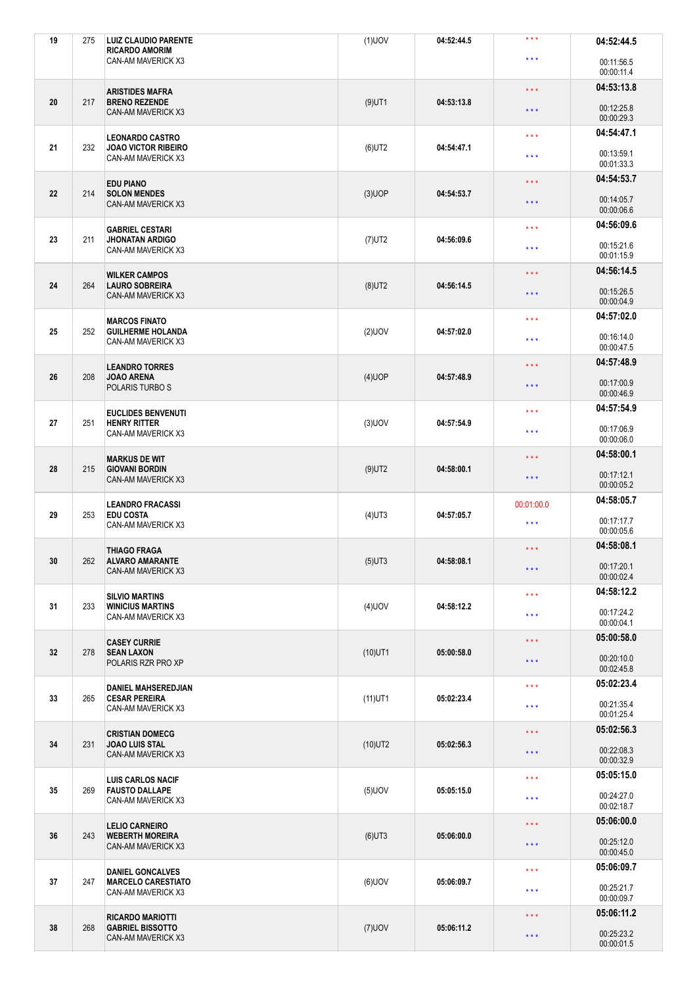| 19 | 275 | <b>LUIZ CLAUDIO PARENTE</b><br><b>RICARDO AMORIM</b> | $(1)$ UOV  | 04:52:44.5 | $***$                   | 04:52:44.5               |
|----|-----|------------------------------------------------------|------------|------------|-------------------------|--------------------------|
|    |     | CAN-AM MAVERICK X3                                   |            |            | $\star \star \star$     | 00:11:56.5<br>00:00:11.4 |
|    |     | <b>ARISTIDES MAFRA</b>                               |            |            | $\star\star\star$       | 04:53:13.8               |
| 20 | 217 | <b>BRENO REZENDE</b><br><b>CAN-AM MAVERICK X3</b>    | $(9)$ UT1  | 04:53:13.8 | $\star$ $\star$ $\star$ | 00:12:25.8<br>00:00:29.3 |
|    |     | <b>LEONARDO CASTRO</b>                               |            |            | $\star$ $\star$ $\star$ | 04:54:47.1               |
| 21 | 232 | <b>JOAO VICTOR RIBEIRO</b><br>CAN-AM MAVERICK X3     | $(6)$ UT2  | 04:54:47.1 | $\star \star \star$     | 00:13:59.1<br>00:01:33.3 |
|    |     | <b>EDU PIANO</b>                                     |            |            | $\star$ $\star$ $\star$ | 04:54:53.7               |
| 22 | 214 | <b>SOLON MENDES</b><br>CAN-AM MAVERICK X3            | $(3)$ UOP  | 04:54:53.7 | $\star \star \star$     | 00:14:05.7<br>00:00:06.6 |
|    |     | <b>GABRIEL CESTARI</b>                               |            |            | $\star \star \star$     | 04:56:09.6               |
| 23 | 211 | <b>JHONATAN ARDIGO</b><br>CAN-AM MAVERICK X3         | $(7)$ UT2  | 04:56:09.6 | $\star$ $\star$ $\star$ | 00:15:21.6<br>00:01:15.9 |
|    |     | <b>WILKER CAMPOS</b>                                 |            |            | $\star \star \star$     | 04:56:14.5               |
| 24 | 264 | <b>LAURO SOBREIRA</b><br>CAN-AM MAVERICK X3          | $(8)$ UT2  | 04:56:14.5 | $\star \star \star$     | 00:15:26.5<br>00:00:04.9 |
|    |     | <b>MARCOS FINATO</b>                                 |            |            | $\star\star\star$       | 04:57:02.0               |
| 25 | 252 | <b>GUILHERME HOLANDA</b><br>CAN-AM MAVERICK X3       | $(2)$ UOV  | 04:57:02.0 | $\star \star \star$     | 00:16:14.0<br>00:00:47.5 |
|    |     | <b>LEANDRO TORRES</b>                                |            |            | $\star$ $\star$ $\star$ | 04:57:48.9               |
| 26 | 208 | <b>JOAO ARENA</b><br>POLARIS TURBO S                 | $(4)$ UOP  | 04:57:48.9 | $\star \star \star$     | 00:17:00.9<br>00:00:46.9 |
|    |     | <b>EUCLIDES BENVENUTI</b>                            |            |            | $\star \star \star$     | 04:57:54.9               |
| 27 | 251 | <b>HENRY RITTER</b><br>CAN-AM MAVERICK X3            | $(3)$ UOV  | 04:57:54.9 | $\star \star \star$     | 00:17:06.9<br>00:00:06.0 |
|    |     | <b>MARKUS DE WIT</b>                                 |            |            | $\star\star\star$       | 04:58:00.1               |
| 28 | 215 | <b>GIOVANI BORDIN</b><br>CAN-AM MAVERICK X3          | $(9)$ UT2  | 04:58:00.1 | $* * *$                 | 00:17:12.1<br>00:00:05.2 |
|    |     |                                                      |            |            |                         |                          |
|    |     | <b>LEANDRO FRACASSI</b>                              |            |            | 00:01:00.0              | 04:58:05.7               |
| 29 | 253 | <b>EDU COSTA</b><br>CAN-AM MAVERICK X3               | $(4)$ UT3  | 04:57:05.7 | $\star\star\star$       | 00:17:17.7<br>00:00:05.6 |
|    |     | <b>THIAGO FRAGA</b>                                  |            |            | $\star$ $\star$ $\star$ | 04:58:08.1               |
| 30 | 262 | <b>ALVARO AMARANTE</b><br>CAN-AM MAVERICK X3         | $(5)$ UT3  | 04:58:08.1 | $\star \star \star$     | 00:17:20.1<br>00:00:02.4 |
|    |     | <b>SILVIO MARTINS</b>                                |            |            | $\star$ $\star$ $\star$ | 04:58:12.2               |
| 31 | 233 | <b>WINICIUS MARTINS</b><br>CAN-AM MAVERICK X3        | $(4)$ UOV  | 04:58:12.2 | $\star$ $\star$ $\star$ | 00:17:24.2<br>00:00:04.1 |
|    |     | <b>CASEY CURRIE</b>                                  |            |            | $\star$ $\star$ $\star$ | 05:00:58.0               |
| 32 | 278 | <b>SEAN LAXON</b><br>POLARIS RZR PRO XP              | $(10)$ UT1 | 05:00:58.0 | $***$                   | 00:20:10.0<br>00:02:45.8 |
|    |     | <b>DANIEL MAHSEREDJIAN</b>                           |            |            | $\star$ $\star$ $\star$ | 05:02:23.4               |
| 33 | 265 | <b>CESAR PEREIRA</b><br>CAN-AM MAVERICK X3           | $(11)$ UT1 | 05:02:23.4 | $\star$ $\star$ $\star$ | 00:21:35.4<br>00:01:25.4 |
|    |     | <b>CRISTIAN DOMECG</b>                               |            |            | $\star$ $\star$ $\star$ | 05:02:56.3               |
| 34 | 231 | <b>JOAO LUIS STAL</b><br>CAN-AM MAVERICK X3          | $(10)$ UT2 | 05:02:56.3 | $\star$ $\star$ $\star$ | 00:22:08.3<br>00:00:32.9 |
|    |     | <b>LUIS CARLOS NACIF</b>                             |            |            | $\star$ $\star$ $\star$ | 05:05:15.0               |
| 35 | 269 | <b>FAUSTO DALLAPE</b><br>CAN-AM MAVERICK X3          | $(5)$ UOV  | 05:05:15.0 | $\star$ $\star$ $\star$ | 00:24:27.0<br>00:02:18.7 |
|    |     | <b>LELIO CARNEIRO</b>                                |            |            | $\star\star\star$       | 05:06:00.0               |
| 36 | 243 | <b>WEBERTH MOREIRA</b><br>CAN-AM MAVERICK X3         | $(6)$ UT3  | 05:06:00.0 | $\star$ $\star$ $\star$ | 00:25:12.0<br>00:00:45.0 |
|    |     | <b>DANIEL GONCALVES</b>                              |            |            | $\star \star \star$     | 05:06:09.7               |
| 37 | 247 | <b>MARCELO CARESTIATO</b><br>CAN-AM MAVERICK X3      | $(6)$ UOV  | 05:06:09.7 | $\star$ $\star$ $\star$ | 00:25:21.7<br>00:00:09.7 |
| 38 | 268 | <b>RICARDO MARIOTTI</b><br><b>GABRIEL BISSOTTO</b>   | $(7)$ UOV  | 05:06:11.2 | $\star \star \star$     | 05:06:11.2               |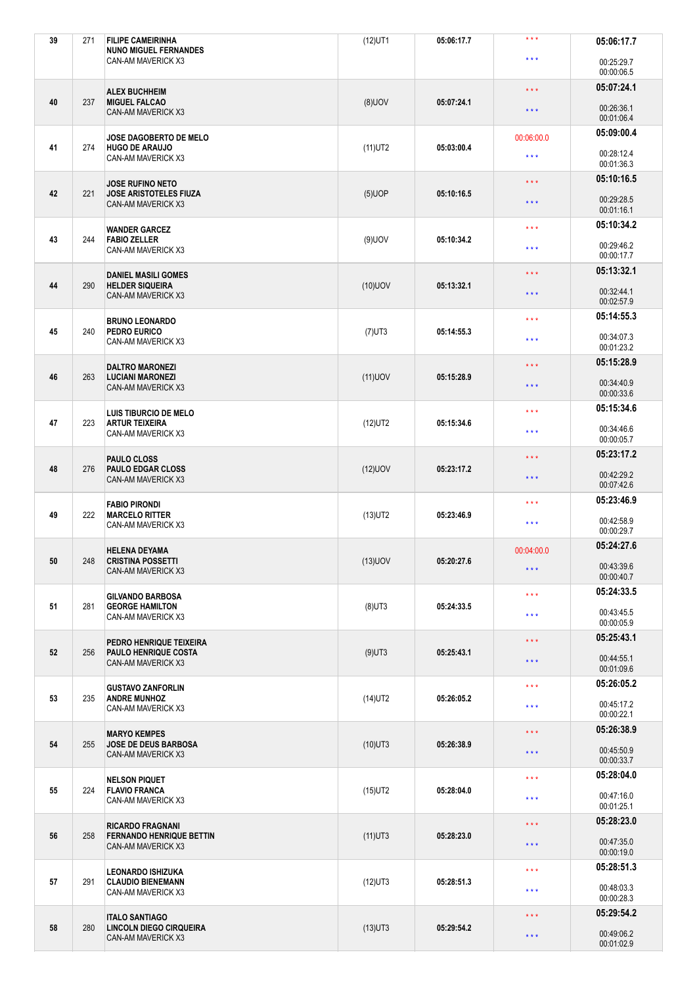| 39 | 271 | <b>FILIPE CAMEIRINHA</b><br><b>NUNO MIGUEL FERNANDES</b> | $(12)$ UT1 | 05:06:17.7 | $***$                   | 05:06:17.7               |
|----|-----|----------------------------------------------------------|------------|------------|-------------------------|--------------------------|
|    |     | CAN-AM MAVERICK X3                                       |            |            | $\star \star \star$     | 00:25:29.7<br>00:00:06.5 |
|    |     | <b>ALEX BUCHHEIM</b>                                     |            |            | $\star \star \star$     | 05:07:24.1               |
| 40 | 237 | <b>MIGUEL FALCAO</b><br>CAN-AM MAVERICK X3               | $(8)$ UOV  | 05:07:24.1 | $\star$ $\star$ $\star$ | 00:26:36.1<br>00:01:06.4 |
|    |     | <b>JOSE DAGOBERTO DE MELO</b>                            |            |            | 00:06:00.0              | 05:09:00.4               |
| 41 | 274 | <b>HUGO DE ARAUJO</b><br>CAN-AM MAVERICK X3              | $(11)$ UT2 | 05:03:00.4 | $\star \star \star$     | 00:28:12.4<br>00:01:36.3 |
|    |     | <b>JOSE RUFINO NETO</b>                                  |            |            | $\star \star \star$     | 05:10:16.5               |
| 42 | 221 | <b>JOSE ARISTOTELES FIUZA</b><br>CAN-AM MAVERICK X3      | $(5)$ UOP  | 05:10:16.5 | $\star \star \star$     | 00:29:28.5<br>00:01:16.1 |
| 43 | 244 | WANDER GARCEZ<br><b>FABIO ZELLER</b>                     | $(9)$ UOV  | 05:10:34.2 | $\star \star \star$     | 05:10:34.2               |
|    |     | CAN-AM MAVERICK X3                                       |            |            | $\star$ $\star$ $\star$ | 00:29:46.2<br>00:00:17.7 |
| 44 | 290 | <b>DANIEL MASILI GOMES</b><br><b>HELDER SIQUEIRA</b>     | $(10)$ UOV | 05:13:32.1 | $\star \star \star$     | 05:13:32.1               |
|    |     | CAN-AM MAVERICK X3                                       |            |            | $\star \star \star$     | 00:32:44.1<br>00:02:57.9 |
|    |     | <b>BRUNO LEONARDO</b>                                    |            |            | $\star \star \star$     | 05:14:55.3               |
| 45 | 240 | PEDRO EURICO<br>CAN-AM MAVERICK X3                       | $(7)$ UT3  | 05:14:55.3 | $***$                   | 00:34:07.3<br>00:01:23.2 |
|    |     | <b>DALTRO MARONEZI</b>                                   |            |            | $\star \star \star$     | 05:15:28.9               |
| 46 | 263 | <b>LUCIANI MARONEZI</b><br>CAN-AM MAVERICK X3            | $(11)$ UOV | 05:15:28.9 | $\star \star \star$     | 00:34:40.9<br>00:00:33.6 |
|    |     | <b>LUIS TIBURCIO DE MELO</b>                             |            |            | $\star \star \star$     | 05:15:34.6               |
| 47 | 223 | <b>ARTUR TEIXEIRA</b><br>CAN-AM MAVERICK X3              | $(12)$ UT2 | 05:15:34.6 | $\star \star \star$     | 00:34:46.6<br>00:00:05.7 |
|    |     | <b>PAULO CLOSS</b>                                       |            |            | $\star \star \star$     | 05:23:17.2               |
| 48 | 276 | <b>PAULO EDGAR CLOSS</b><br>CAN-AM MAVERICK X3           | $(12)$ UOV | 05:23:17.2 | $\star \star \star$     | 00:42:29.2<br>00:07:42.6 |
|    |     | <b>FABIO PIRONDI</b>                                     |            |            | $\star \star \star$     | 05:23:46.9               |
|    |     |                                                          |            |            |                         |                          |
| 49 | 222 | <b>MARCELO RITTER</b><br>CAN-AM MAVERICK X3              | $(13)$ UT2 | 05:23:46.9 | $\star$ $\star$ $\star$ | 00:42:58.9<br>00:00:29.7 |
|    |     | <b>HELENA DEYAMA</b>                                     |            |            | 00:04:00.0              | 05:24:27.6               |
| 50 | 248 | <b>CRISTINA POSSETTI</b><br>CAN-AM MAVERICK X3           | $(13)$ UOV | 05:20:27.6 | $\star$ $\star$ $\star$ | 00:43:39.6<br>00:00:40.7 |
|    |     | <b>GILVANDO BARBOSA</b>                                  |            |            | $\star \star \star$     | 05:24:33.5               |
| 51 | 281 | <b>GEORGE HAMILTON</b><br>CAN-AM MAVERICK X3             | $(8)$ UT3  | 05:24:33.5 | $\star$ $\star$ $\star$ | 00:43:45.5<br>00:00:05.9 |
|    |     | PEDRO HENRIQUE TEIXEIRA                                  |            |            | $\star \star \star$     | 05:25:43.1               |
| 52 | 256 | <b>PAULO HENRIQUE COSTA</b><br>CAN-AM MAVERICK X3        | $(9)$ UT3  | 05:25:43.1 | $***$                   | 00:44:55.1<br>00:01:09.6 |
|    |     | <b>GUSTAVO ZANFORLIN</b>                                 |            |            | $\star \star \star$     | 05:26:05.2               |
| 53 | 235 | <b>ANDRE MUNHOZ</b><br>CAN-AM MAVERICK X3                | $(14)$ UT2 | 05:26:05.2 | $\star$ $\star$ $\star$ | 00:45:17.2<br>00:00:22.1 |
|    |     | <b>MARYO KEMPES</b>                                      |            |            | $\star$ $\star$ $\star$ | 05:26:38.9               |
| 54 | 255 | <b>JOSE DE DEUS BARBOSA</b><br>CAN-AM MAVERICK X3        | $(10)$ UT3 | 05:26:38.9 | $\star$ $\star$ $\star$ | 00:45:50.9<br>00:00:33.7 |
|    |     | <b>NELSON PIQUET</b>                                     |            |            | $\star \star \star$     | 05:28:04.0               |
| 55 | 224 | <b>FLAVIO FRANCA</b><br>CAN-AM MAVERICK X3               | $(15)$ UT2 | 05:28:04.0 | $\star \star \star$     | 00:47:16.0<br>00:01:25.1 |
|    |     | <b>RICARDO FRAGNANI</b>                                  |            |            | $\star$ $\star$ $\star$ | 05:28:23.0               |
| 56 | 258 | <b>FERNANDO HENRIQUE BETTIN</b><br>CAN-AM MAVERICK X3    | $(11)$ UT3 | 05:28:23.0 | $\star$ $\star$ $\star$ | 00:47:35.0<br>00:00:19.0 |
|    |     | <b>LEONARDO ISHIZUKA</b>                                 |            |            | $\star \star \star$     | 05:28:51.3               |
| 57 | 291 | <b>CLAUDIO BIENEMANN</b><br>CAN-AM MAVERICK X3           | $(12)$ UT3 | 05:28:51.3 | $\star$ $\star$ $\star$ | 00:48:03.3<br>00:00:28.3 |
| 58 | 280 | <b>ITALO SANTIAGO</b><br>LINCOLN DIEGO CIRQUEIRA         | $(13)$ UT3 | 05:29:54.2 | $\star \star \star$     | 05:29:54.2               |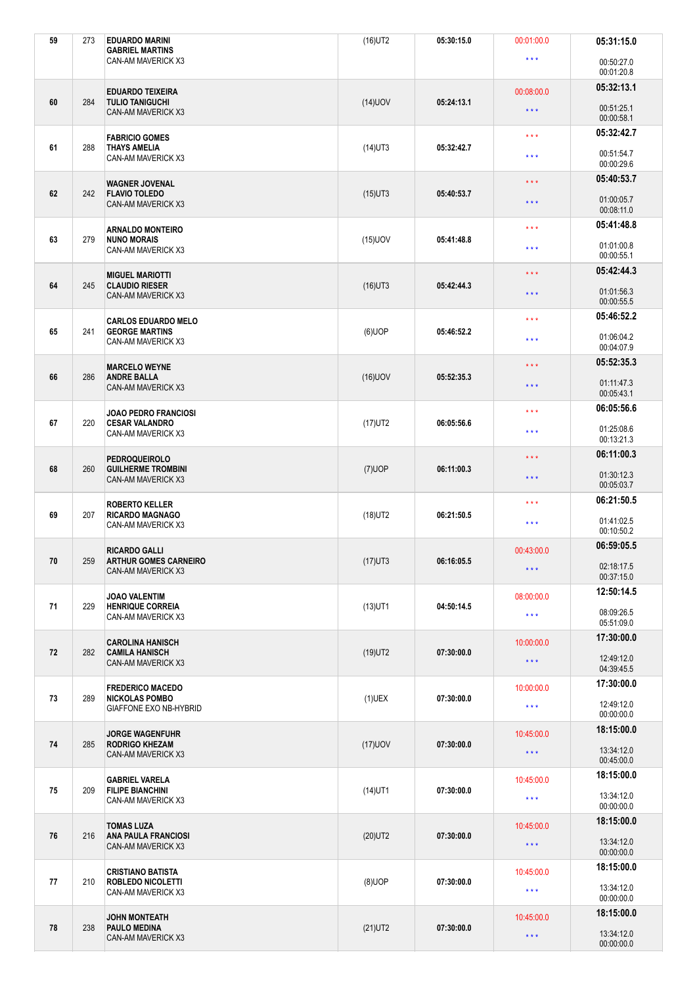| 59 | 273 | <b>EDUARDO MARINI</b><br><b>GABRIEL MARTINS</b>    | $(16)$ UT2 | 05:30:15.0 | 00:01:00.0              | 05:31:15.0               |
|----|-----|----------------------------------------------------|------------|------------|-------------------------|--------------------------|
|    |     | CAN-AM MAVERICK X3                                 |            |            | $\star \star \star$     | 00:50:27.0<br>00:01:20.8 |
|    |     | <b>EDUARDO TEIXEIRA</b>                            |            |            | 00:08:00.0              | 05:32:13.1               |
| 60 | 284 | <b>TULIO TANIGUCHI</b><br>CAN-AM MAVERICK X3       | $(14)$ UOV | 05:24:13.1 | $\star \star \star$     | 00:51:25.1<br>00:00:58.1 |
|    |     | <b>FABRICIO GOMES</b>                              |            |            | $\star \star \star$     | 05:32:42.7               |
| 61 | 288 | <b>THAYS AMELIA</b><br>CAN-AM MAVERICK X3          | $(14)$ UT3 | 05:32:42.7 | $\star \star \star$     | 00:51:54.7<br>00:00:29.6 |
|    |     | <b>WAGNER JOVENAL</b>                              |            |            | $\star \star \star$     | 05:40:53.7               |
| 62 | 242 | <b>FLAVIO TOLEDO</b><br>CAN-AM MAVERICK X3         | $(15)$ UT3 | 05:40:53.7 | $\star \star \star$     | 01:00:05.7<br>00:08:11.0 |
|    |     | <b>ARNALDO MONTEIRO</b>                            |            |            | $***$                   | 05:41:48.8               |
| 63 | 279 | <b>NUNO MORAIS</b><br>CAN-AM MAVERICK X3           | $(15)$ UOV | 05:41:48.8 | $\star \star \star$     | 01:01:00.8<br>00:00:55.1 |
|    | 245 | <b>MIGUEL MARIOTTI</b>                             |            |            | $\star \star \star$     | 05:42:44.3               |
| 64 |     | <b>CLAUDIO RIESER</b><br>CAN-AM MAVERICK X3        | $(16)$ UT3 | 05:42:44.3 | $\star \star \star$     | 01:01:56.3<br>00:00:55.5 |
|    |     | <b>CARLOS EDUARDO MELO</b>                         |            |            | $\star \star \star$     | 05:46:52.2               |
| 65 | 241 | <b>GEORGE MARTINS</b><br>CAN-AM MAVERICK X3        | $(6)$ UOP  | 05:46:52.2 | $\star \star \star$     | 01:06:04.2<br>00:04:07.9 |
|    |     | <b>MARCELO WEYNE</b>                               |            |            | $\star\star\star$       | 05:52:35.3               |
| 66 | 286 | <b>ANDRE BALLA</b><br>CAN-AM MAVERICK X3           | $(16)$ UOV | 05:52:35.3 | $\star \star \star$     | 01:11:47.3<br>00:05:43.1 |
|    |     | <b>JOAO PEDRO FRANCIOSI</b>                        |            |            | $\star \star \star$     | 06:05:56.6               |
| 67 | 220 | <b>CESAR VALANDRO</b><br>CAN-AM MAVERICK X3        | $(17)$ UT2 | 06:05:56.6 | $***$                   | 01:25:08.6<br>00:13:21.3 |
|    |     | <b>PEDROQUEIROLO</b>                               |            |            | $\star \star \star$     | 06:11:00.3               |
| 68 | 260 | <b>GUILHERME TROMBINI</b><br>CAN-AM MAVERICK X3    | $(7)$ UOP  | 06:11:00.3 | $\star \star \star$     | 01:30:12.3<br>00:05:03.7 |
|    |     | <b>ROBERTO KELLER</b>                              |            |            | $***$                   | 06:21:50.5               |
| 69 | 207 | <b>RICARDO MAGNAGO</b><br>CAN-AM MAVERICK X3       | $(18)$ UT2 | 06:21:50.5 | $\star \star \star$     | 01:41:02.5<br>00:10:50.2 |
|    |     |                                                    |            |            |                         | 06:59:05.5               |
|    |     | <b>RICARDO GALLI</b>                               |            |            | 00:43:00.0              |                          |
| 70 | 259 | <b>ARTHUR GOMES CARNEIRO</b><br>CAN-AM MAVERICK X3 | $(17)$ UT3 | 06:16:05.5 | $\star$ $\star$ $\star$ | 02:18:17.5<br>00:37:15.0 |
|    |     | JOAO VALENTIM                                      |            |            | 08:00:00.0              | 12:50:14.5               |
| 71 | 229 | <b>HENRIQUE CORREIA</b><br>CAN-AM MAVERICK X3      | $(13)$ UT1 | 04:50:14.5 | $\star\star\star$       | 08:09:26.5<br>05:51:09.0 |
|    |     | <b>CAROLINA HANISCH</b>                            |            |            | 10:00:00.0              | 17:30:00.0               |
| 72 | 282 | <b>CAMILA HANISCH</b><br>CAN-AM MAVERICK X3        | $(19)$ UT2 | 07:30:00.0 | $\star$ $\star$ $\star$ | 12:49:12.0<br>04:39:45.5 |
|    |     | <b>FREDERICO MACEDO</b>                            |            |            | 10:00:00.0              | 17:30:00.0               |
| 73 | 289 | <b>NICKOLAS POMBO</b><br>GIAFFONE EXO NB-HYBRID    | $(1)$ UEX  | 07:30:00.0 | $\star\star\star$       | 12:49:12.0<br>00:00:00.0 |
|    |     | <b>JORGE WAGENFUHR</b>                             |            |            | 10:45:00.0              | 18:15:00.0               |
| 74 | 285 | <b>RODRIGO KHEZAM</b><br>CAN-AM MAVERICK X3        | $(17)$ UOV | 07:30:00.0 | $\star$ $\star$ $\star$ | 13:34:12.0<br>00:45:00.0 |
|    |     | GABRIEL VARELA                                     |            |            | 10:45:00.0              | 18:15:00.0               |
| 75 | 209 | <b>FILIPE BIANCHINI</b><br>CAN-AM MAVERICK X3      | $(14)$ UT1 | 07:30:00.0 | $\star\star\star$       | 13:34:12.0<br>00:00:00.0 |
|    |     | <b>TOMAS LUZA</b>                                  |            |            | 10:45:00.0              | 18:15:00.0               |
| 76 | 216 | <b>ANA PAULA FRANCIOSI</b><br>CAN-AM MAVERICK X3   | $(20)$ UT2 | 07:30:00.0 | $\star$ $\star$ $\star$ | 13:34:12.0<br>00:00:00.0 |
|    |     | <b>CRISTIANO BATISTA</b>                           |            |            | 10:45:00.0              | 18:15:00.0               |
| 77 | 210 | <b>ROBLEDO NICOLETTI</b><br>CAN-AM MAVERICK X3     | $(8)$ UOP  | 07:30:00.0 | $\star$ $\star$ $\star$ | 13:34:12.0<br>00:00:00.0 |
| 78 | 238 | <b>JOHN MONTEATH</b><br><b>PAULO MEDINA</b>        | $(21)$ UT2 | 07:30:00.0 | 10:45:00.0              | 18:15:00.0               |